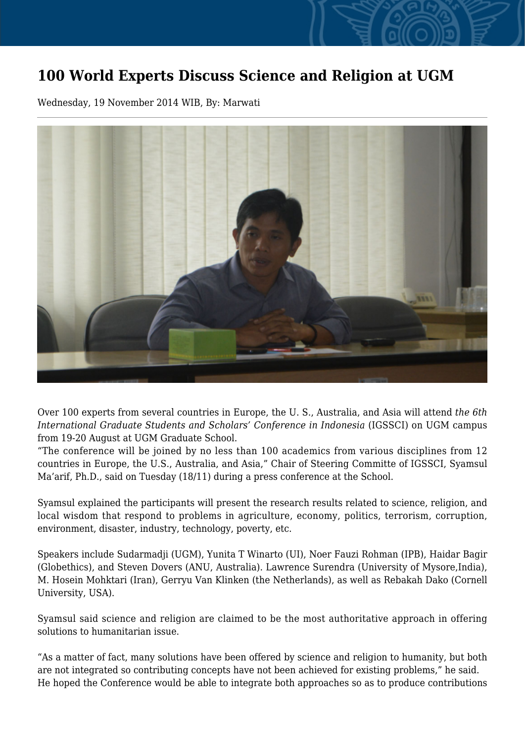## **100 World Experts Discuss Science and Religion at UGM**

Wednesday, 19 November 2014 WIB, By: Marwati



Over 100 experts from several countries in Europe, the U. S., Australia, and Asia will attend *the 6th International Graduate Students and Scholars' Conference in Indonesia* (IGSSCI) on UGM campus from 19-20 August at UGM Graduate School.

"The conference will be joined by no less than 100 academics from various disciplines from 12 countries in Europe, the U.S., Australia, and Asia," Chair of Steering Committe of IGSSCI, Syamsul Ma'arif, Ph.D., said on Tuesday (18/11) during a press conference at the School.

Syamsul explained the participants will present the research results related to science, religion, and local wisdom that respond to problems in agriculture, economy, politics, terrorism, corruption, environment, disaster, industry, technology, poverty, etc.

Speakers include Sudarmadji (UGM), Yunita T Winarto (UI), Noer Fauzi Rohman (IPB), Haidar Bagir (Globethics), and Steven Dovers (ANU, Australia). Lawrence Surendra (University of Mysore,India), M. Hosein Mohktari (Iran), Gerryu Van Klinken (the Netherlands), as well as Rebakah Dako (Cornell University, USA).

Syamsul said science and religion are claimed to be the most authoritative approach in offering solutions to humanitarian issue.

"As a matter of fact, many solutions have been offered by science and religion to humanity, but both are not integrated so contributing concepts have not been achieved for existing problems," he said. He hoped the Conference would be able to integrate both approaches so as to produce contributions